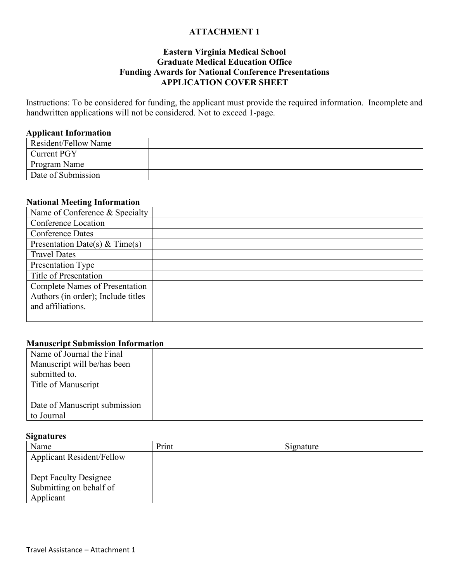## **Eastern Virginia Medical School Graduate Medical Education Office Funding Awards for National Conference Presentations APPLICATION COVER SHEET**

Instructions: To be considered for funding, the applicant must provide the required information. Incomplete and handwritten applications will not be considered. Not to exceed 1-page.

#### **Applicant Information**

| Resident/Fellow Name |  |
|----------------------|--|
| Current PGY          |  |
| Program Name         |  |
| Date of Submission   |  |

## **National Meeting Information**

| Name of Conference & Specialty        |  |
|---------------------------------------|--|
| Conference Location                   |  |
| <b>Conference Dates</b>               |  |
| Presentation Date(s) & Time(s)        |  |
| <b>Travel Dates</b>                   |  |
| Presentation Type                     |  |
| Title of Presentation                 |  |
| <b>Complete Names of Presentation</b> |  |
| Authors (in order); Include titles    |  |
| and affiliations.                     |  |
|                                       |  |

### **Manuscript Submission Information**

| Name of Journal the Final     |  |
|-------------------------------|--|
| Manuscript will be/has been   |  |
| submitted to.                 |  |
| Title of Manuscript           |  |
|                               |  |
| Date of Manuscript submission |  |
| to Journal                    |  |

#### **Signatures**

| Name                             | Print | Signature |
|----------------------------------|-------|-----------|
| <b>Applicant Resident/Fellow</b> |       |           |
|                                  |       |           |
| Dept Faculty Designee            |       |           |
| Submitting on behalf of          |       |           |
| Applicant                        |       |           |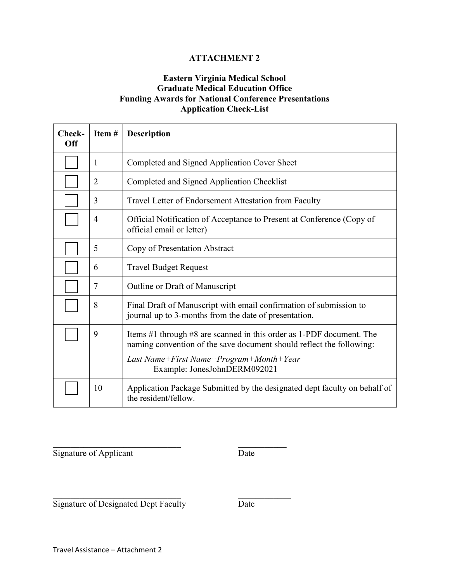# **Eastern Virginia Medical School Graduate Medical Education Office Funding Awards for National Conference Presentations Application Check-List**

| Check-<br>Off | Item#          | <b>Description</b>                                                                                                                                                                                                      |
|---------------|----------------|-------------------------------------------------------------------------------------------------------------------------------------------------------------------------------------------------------------------------|
|               | $\mathbf{1}$   | Completed and Signed Application Cover Sheet                                                                                                                                                                            |
|               | $\overline{2}$ | Completed and Signed Application Checklist                                                                                                                                                                              |
|               | 3              | Travel Letter of Endorsement Attestation from Faculty                                                                                                                                                                   |
|               | $\overline{4}$ | Official Notification of Acceptance to Present at Conference (Copy of<br>official email or letter)                                                                                                                      |
|               | 5              | Copy of Presentation Abstract                                                                                                                                                                                           |
|               | 6              | <b>Travel Budget Request</b>                                                                                                                                                                                            |
|               | 7              | Outline or Draft of Manuscript                                                                                                                                                                                          |
|               | 8              | Final Draft of Manuscript with email confirmation of submission to<br>journal up to 3-months from the date of presentation.                                                                                             |
|               | 9              | Items #1 through #8 are scanned in this order as 1-PDF document. The<br>naming convention of the save document should reflect the following:<br>Last Name+First Name+Program+Month+Year<br>Example: JonesJohnDERM092021 |
|               | 10             | Application Package Submitted by the designated dept faculty on behalf of<br>the resident/fellow.                                                                                                                       |

Signature of Applicant Date

Signature of Designated Dept Faculty Date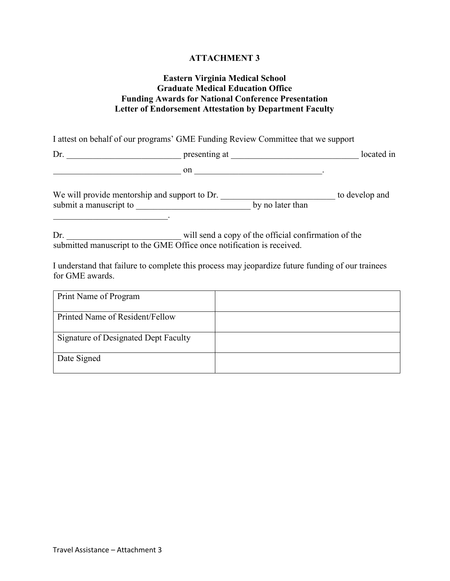## **Eastern Virginia Medical School Graduate Medical Education Office Funding Awards for National Conference Presentation Letter of Endorsement Attestation by Department Faculty**

I attest on behalf of our programs' GME Funding Review Committee that we support

Dr. \_\_\_\_\_\_\_\_\_\_\_\_\_\_\_\_\_\_\_\_\_\_\_\_\_\_ presenting at \_\_\_\_\_\_\_\_\_\_\_\_\_\_\_\_\_\_\_\_\_\_\_\_\_\_\_\_\_ located in  $\hspace{0.5cm}$  on  $\hspace{0.5cm}$  on  $\hspace{0.5cm}$ 

We will provide mentorship and support to Dr. \_\_\_\_\_\_\_\_\_\_\_\_\_\_\_\_\_\_\_\_\_\_\_\_\_\_\_\_\_\_\_\_ to develop and submit a manuscript to \_\_\_\_\_\_\_\_\_\_\_\_\_\_\_\_\_\_\_\_\_\_\_\_\_\_ by no later than

Dr. \_\_\_\_\_\_\_\_\_\_\_\_\_\_\_\_\_\_\_\_\_\_\_\_\_\_ will send a copy of the official confirmation of the submitted manuscript to the GME Office once notification is received.

I understand that failure to complete this process may jeopardize future funding of our trainees for GME awards.

| Print Name of Program                |  |
|--------------------------------------|--|
| Printed Name of Resident/Fellow      |  |
| Signature of Designated Dept Faculty |  |
| Date Signed                          |  |

 $\overline{\phantom{a}}$  , where  $\overline{\phantom{a}}$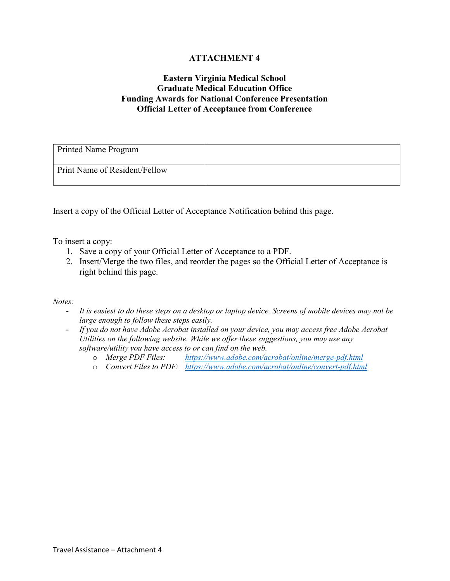# **Eastern Virginia Medical School Graduate Medical Education Office Funding Awards for National Conference Presentation Official Letter of Acceptance from Conference**

| Printed Name Program          |  |
|-------------------------------|--|
| Print Name of Resident/Fellow |  |

Insert a copy of the Official Letter of Acceptance Notification behind this page.

To insert a copy:

- 1. Save a copy of your Official Letter of Acceptance to a PDF.
- 2. Insert/Merge the two files, and reorder the pages so the Official Letter of Acceptance is right behind this page.

- *It is easiest to do these steps on a desktop or laptop device. Screens of mobile devices may not be large enough to follow these steps easily.*
- *If you do not have Adobe Acrobat installed on your device, you may access free Adobe Acrobat Utilities on the following website. While we offer these suggestions, you may use any software/utility you have access to or can find on the web.*
	- o *Merge PDF Files: <https://www.adobe.com/acrobat/online/merge-pdf.html>*
	- o *Convert Files to PDF: <https://www.adobe.com/acrobat/online/convert-pdf.html>*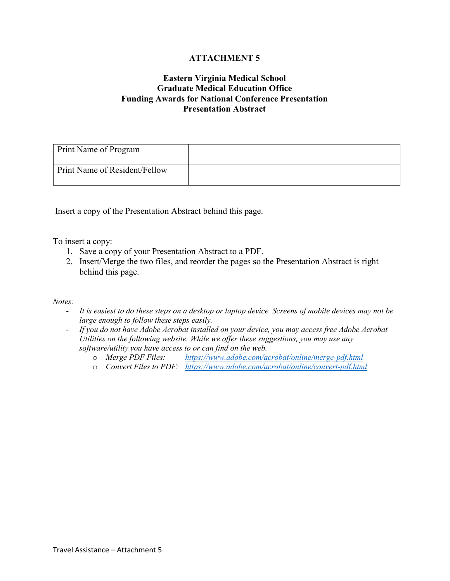# **Eastern Virginia Medical School Graduate Medical Education Office Funding Awards for National Conference Presentation Presentation Abstract**

| Print Name of Program         |  |
|-------------------------------|--|
| Print Name of Resident/Fellow |  |

Insert a copy of the Presentation Abstract behind this page.

To insert a copy:

- 1. Save a copy of your Presentation Abstract to a PDF.
- 2. Insert/Merge the two files, and reorder the pages so the Presentation Abstract is right behind this page.

- *It is easiest to do these steps on a desktop or laptop device. Screens of mobile devices may not be large enough to follow these steps easily.*
- *If you do not have Adobe Acrobat installed on your device, you may access free Adobe Acrobat Utilities on the following website. While we offer these suggestions, you may use any software/utility you have access to or can find on the web.*
	- o *Merge PDF Files: <https://www.adobe.com/acrobat/online/merge-pdf.html>*
	- o *Convert Files to PDF: <https://www.adobe.com/acrobat/online/convert-pdf.html>*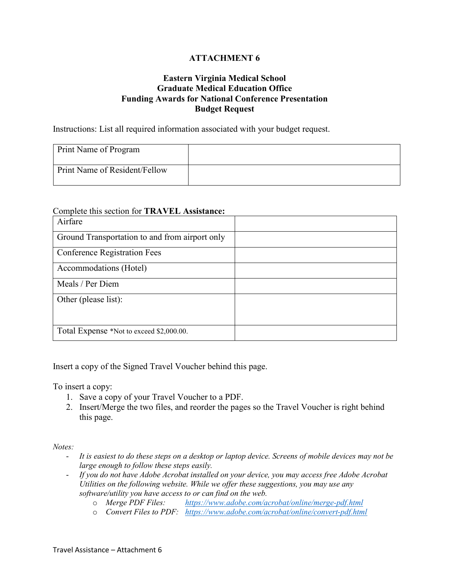# **Eastern Virginia Medical School Graduate Medical Education Office Funding Awards for National Conference Presentation Budget Request**

Instructions: List all required information associated with your budget request.

| Print Name of Program         |  |
|-------------------------------|--|
| Print Name of Resident/Fellow |  |

### Complete this section for **TRAVEL Assistance:**

| Airfare                                        |  |
|------------------------------------------------|--|
| Ground Transportation to and from airport only |  |
| <b>Conference Registration Fees</b>            |  |
| Accommodations (Hotel)                         |  |
| Meals / Per Diem                               |  |
| Other (please list):                           |  |
|                                                |  |
| Total Expense *Not to exceed \$2,000.00.       |  |

Insert a copy of the Signed Travel Voucher behind this page.

To insert a copy:

- 1. Save a copy of your Travel Voucher to a PDF.
- 2. Insert/Merge the two files, and reorder the pages so the Travel Voucher is right behind this page.

- *It is easiest to do these steps on a desktop or laptop device. Screens of mobile devices may not be large enough to follow these steps easily.*
- *If you do not have Adobe Acrobat installed on your device, you may access free Adobe Acrobat Utilities on the following website. While we offer these suggestions, you may use any software/utility you have access to or can find on the web.*
	- o *Merge PDF Files: <https://www.adobe.com/acrobat/online/merge-pdf.html>*
	- o *Convert Files to PDF: <https://www.adobe.com/acrobat/online/convert-pdf.html>*